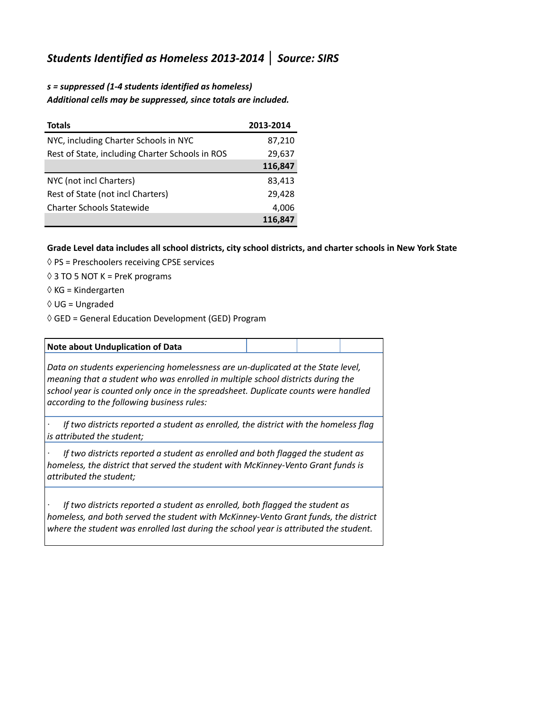## *Students Identified as Homeless 2013-2014* **│** *Source: SIRS*

## *s = suppressed (1-4 students identified as homeless) Additional cells may be suppressed, since totals are included.*

| <b>Totals</b>                                   | 2013-2014 |
|-------------------------------------------------|-----------|
| NYC, including Charter Schools in NYC           | 87,210    |
| Rest of State, including Charter Schools in ROS | 29,637    |
|                                                 | 116,847   |
| NYC (not incl Charters)                         | 83,413    |
| Rest of State (not incl Charters)               | 29,428    |
| <b>Charter Schools Statewide</b>                | 4,006     |
|                                                 | 116,847   |

## **Grade Level data includes all school districts, city school districts, and charter schools in New York State**

- $\Diamond$  PS = Preschoolers receiving CPSE services
- $\Diamond$  3 TO 5 NOT K = PreK programs
- $\Diamond$  KG = Kindergarten
- $\Diamond$  UG = Ungraded
- $\Diamond$  GED = General Education Development (GED) Program

## **Note about Unduplication of Data**

*Data on students experiencing homelessness are un-duplicated at the State level, meaning that a student who was enrolled in multiple school districts during the school year is counted only once in the spreadsheet. Duplicate counts were handled according to the following business rules:*

*· If two districts reported a student as enrolled, the district with the homeless flag is attributed the student;*

*· If two districts reported a student as enrolled and both flagged the student as homeless, the district that served the student with McKinney-Vento Grant funds is attributed the student;*

*· If two districts reported a student as enrolled, both flagged the student as homeless, and both served the student with McKinney-Vento Grant funds, the district where the student was enrolled last during the school year is attributed the student.*